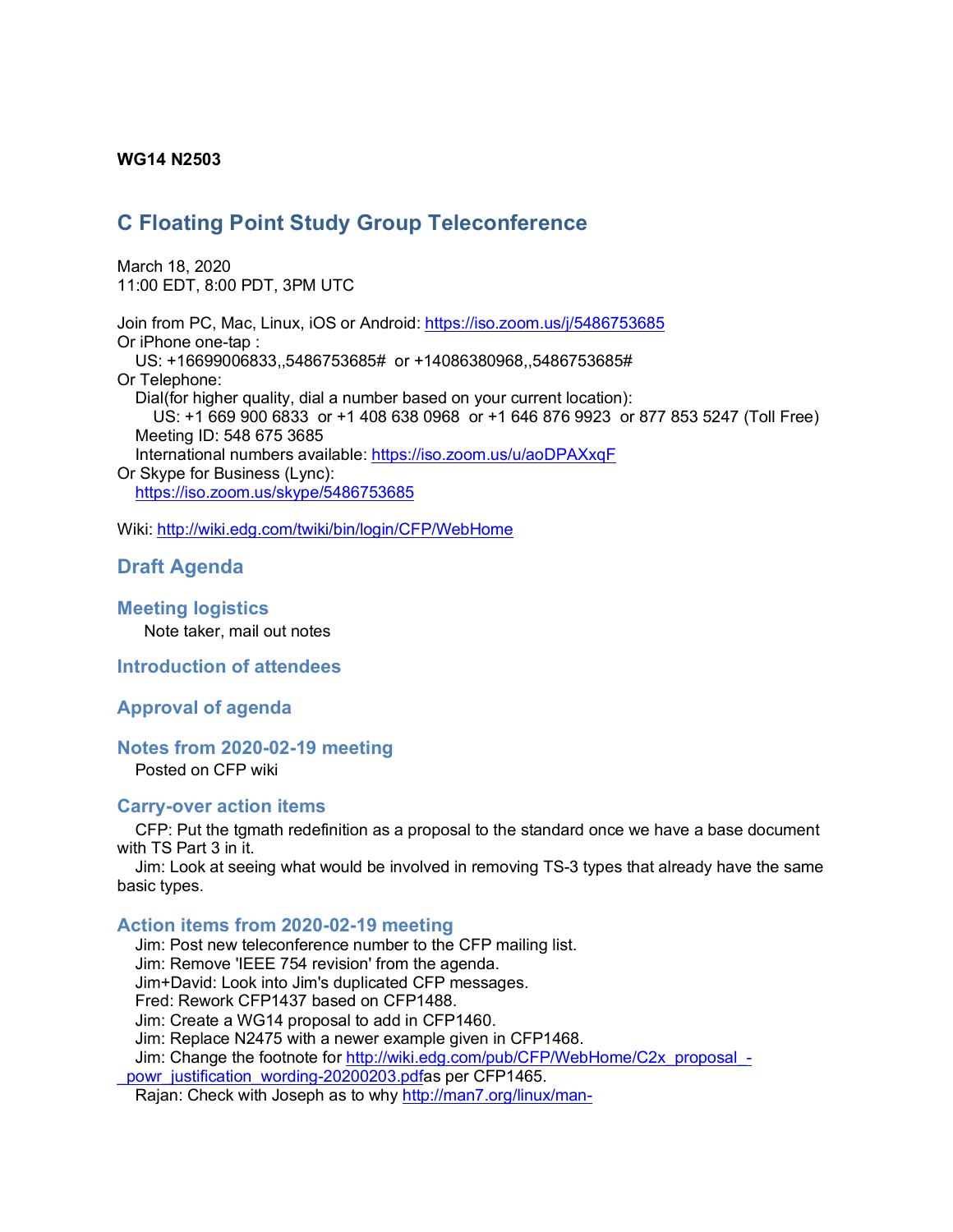### **WG14 N2503**

# **C Floating Point Study Group Teleconference**

March 18, 2020 11:00 EDT, 8:00 PDT, 3PM UTC

Join from PC, Mac, Linux, iOS or Android: https://iso.zoom.us/j/5486753685 Or iPhone one-tap : US: +16699006833,,5486753685# or +14086380968,,5486753685# Or Telephone: Dial(for higher quality, dial a number based on your current location): US: +1 669 900 6833 or +1 408 638 0968 or +1 646 876 9923 or 877 853 5247 (Toll Free) Meeting ID: 548 675 3685 International numbers available: https://iso.zoom.us/u/aoDPAXxqF Or Skype for Business (Lync): https://iso.zoom.us/skype/5486753685

Wiki: http://wiki.edg.com/twiki/bin/login/CFP/WebHome

# **Draft Agenda**

**Meeting logistics**

Note taker, mail out notes

**Introduction of attendees**

#### **Approval of agenda**

### **Notes from 2020-02-19 meeting**

Posted on CFP wiki

#### **Carry-over action items**

CFP: Put the tgmath redefinition as a proposal to the standard once we have a base document with TS Part 3 in it.

Jim: Look at seeing what would be involved in removing TS-3 types that already have the same basic types.

### **Action items from 2020-02-19 meeting**

Jim: Post new teleconference number to the CFP mailing list. Jim: Remove 'IEEE 754 revision' from the agenda. Jim+David: Look into Jim's duplicated CFP messages. Fred: Rework CFP1437 based on CFP1488. Jim: Create a WG14 proposal to add in CFP1460. Jim: Replace N2475 with a newer example given in CFP1468. Jim: Change the footnote for http://wiki.edg.com/pub/CFP/WebHome/C2x\_proposal\_ powr\_justification\_wording-20200203.pdfas per CFP1465.

Rajan: Check with Joseph as to why http://man7.org/linux/man-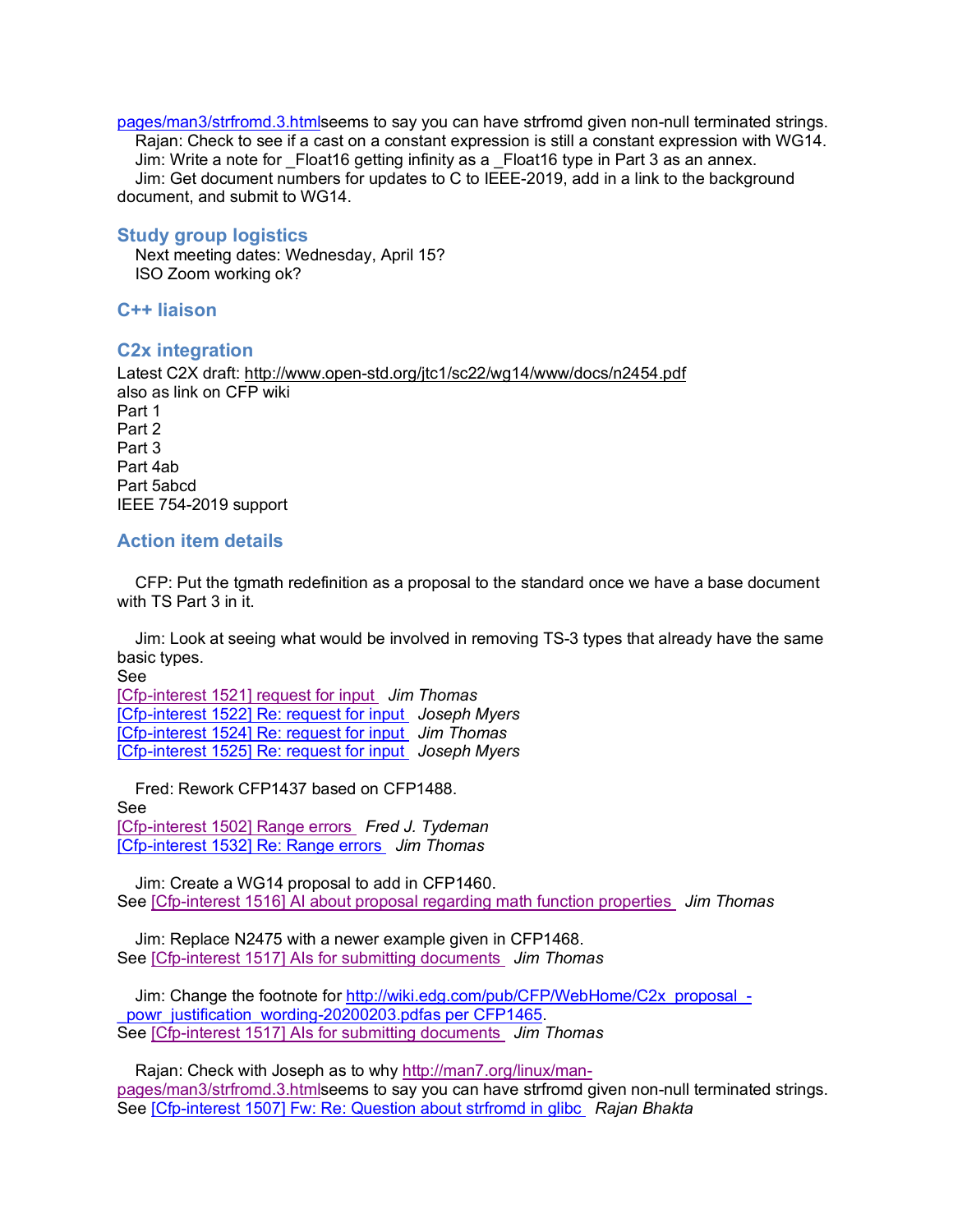pages/man3/strfromd.3.htmlseems to say you can have strfromd given non-null terminated strings. Rajan: Check to see if a cast on a constant expression is still a constant expression with WG14. Jim: Write a note for \_Float16 getting infinity as a \_Float16 type in Part 3 as an annex. Jim: Get document numbers for updates to C to IEEE-2019, add in a link to the background document, and submit to WG14.

## **Study group logistics**

 Next meeting dates: Wednesday, April 15? ISO Zoom working ok?

**C++ liaison**

## **C2x integration**

Latest C2X draft: http://www.open-std.org/jtc1/sc22/wg14/www/docs/n2454.pdf also as link on CFP wiki Part 1 Part 2 Part 3 Part 4ab Part 5abcd IEEE 754-2019 support

## **Action item details**

CFP: Put the tgmath redefinition as a proposal to the standard once we have a base document with TS Part 3 in it.

Jim: Look at seeing what would be involved in removing TS-3 types that already have the same basic types.

See

[Cfp-interest 1521] request for input *Jim Thomas* [Cfp-interest 1522] Re: request for input *Joseph Myers* [Cfp-interest 1524] Re: request for input *Jim Thomas* [Cfp-interest 1525] Re: request for input *Joseph Myers*

Fred: Rework CFP1437 based on CFP1488. See [Cfp-interest 1502] Range errors *Fred J. Tydeman* [Cfp-interest 1532] Re: Range errors *Jim Thomas*

Jim: Create a WG14 proposal to add in CFP1460. See [Cfp-interest 1516] AI about proposal regarding math function properties *Jim Thomas*

Jim: Replace N2475 with a newer example given in CFP1468. See [Cfp-interest 1517] AIs for submitting documents *Jim Thomas*

Jim: Change the footnote for http://wiki.edg.com/pub/CFP/WebHome/C2x\_proposal\_powr\_justification\_wording-20200203.pdfas per CFP1465. See [Cfp-interest 1517] AIs for submitting documents *Jim Thomas*

Rajan: Check with Joseph as to why http://man7.org/linux/manpages/man3/strfromd.3.htmlseems to say you can have strfromd given non-null terminated strings. See [Cfp-interest 1507] Fw: Re: Question about strfromd in glibc *Rajan Bhakta*